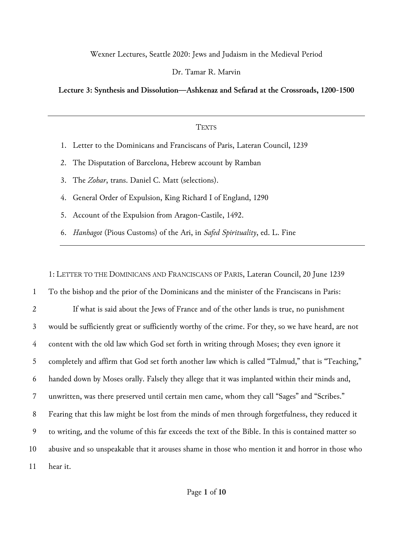# Wexner Lectures, Seattle 2020: Jews and Judaism in the Medieval Period

# Dr. Tamar R. Marvin

# **Lecture 3: Synthesis and Dissolution—Ashkenaz and Sefarad at the Crossroads, 1200-1500**

#### **TEXTS**

- 1. Letter to the Dominicans and Franciscans of Paris, Lateran Council, 1239
- 2. The Disputation of Barcelona, Hebrew account by Ramban
- 3. The *Zohar*, trans. Daniel C. Matt (selections).
- 4. General Order of Expulsion, King Richard I of England, 1290
- 5. Account of the Expulsion from Aragon-Castile, 1492.
- 6. *Hanhagot* (Pious Customs) of the Ari, in *Safed Spirituality*, ed. L. Fine

1: LETTER TO THE DOMINICANS AND FRANCISCANS OF PARIS, Lateran Council, 20 June 1239 To the bishop and the prior of the Dominicans and the minister of the Franciscans in Paris: If what is said about the Jews of France and of the other lands is true, no punishment would be sufficiently great or sufficiently worthy of the crime. For they, so we have heard, are not content with the old law which God set forth in writing through Moses; they even ignore it 5 completely and affirm that God set forth another law which is called "Talmud," that is "Teaching," handed down by Moses orally. Falsely they allege that it was implanted within their minds and, unwritten, was there preserved until certain men came, whom they call "Sages" and "Scribes." Fearing that this law might be lost from the minds of men through forgetfulness, they reduced it to writing, and the volume of this far exceeds the text of the Bible. In this is contained matter so abusive and so unspeakable that it arouses shame in those who mention it and horror in those who 11 hear it.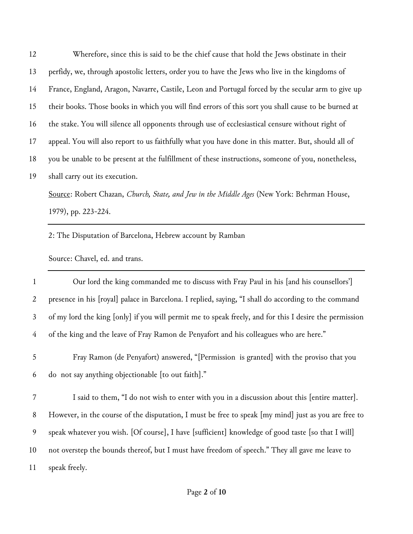Wherefore, since this is said to be the chief cause that hold the Jews obstinate in their perfidy, we, through apostolic letters, order you to have the Jews who live in the kingdoms of France, England, Aragon, Navarre, Castile, Leon and Portugal forced by the secular arm to give up their books. Those books in which you will find errors of this sort you shall cause to be burned at the stake. You will silence all opponents through use of ecclesiastical censure without right of appeal. You will also report to us faithfully what you have done in this matter. But, should all of you be unable to be present at the fulfillment of these instructions, someone of you, nonetheless, shall carry out its execution. Source: Robert Chazan, *Church, State, and Jew in the Middle Ages* (New York: Behrman House,

1979), pp. 223-224.

2: The Disputation of Barcelona, Hebrew account by Ramban

Source: Chavel, ed. and trans.

| $\mathbf{1}$   | Our lord the king commanded me to discuss with Fray Paul in his [and his counsellors']                 |
|----------------|--------------------------------------------------------------------------------------------------------|
| 2              | presence in his [royal] palace in Barcelona. I replied, saying, "I shall do according to the command   |
| 3 <sup>1</sup> | of my lord the king [only] if you will permit me to speak freely, and for this I desire the permission |
| 4              | of the king and the leave of Fray Ramon de Penyafort and his colleagues who are here."                 |

 Fray Ramon (de Penyafort) answered, "[Permission is granted] with the proviso that you do not say anything objectionable [to out faith]."

 I said to them, "I do not wish to enter with you in a discussion about this [entire matter]. However, in the course of the disputation, I must be free to speak [my mind] just as you are free to speak whatever you wish. [Of course], I have [sufficient] knowledge of good taste [so that I will] not overstep the bounds thereof, but I must have freedom of speech." They all gave me leave to speak freely.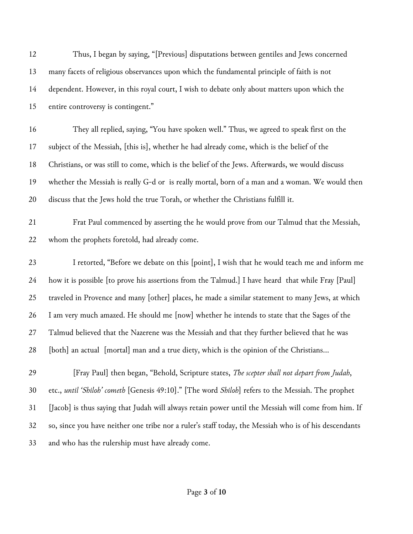| 12 | Thus, I began by saying, "[Previous] disputations between gentiles and Jews concerned                 |
|----|-------------------------------------------------------------------------------------------------------|
| 13 | many facets of religious observances upon which the fundamental principle of faith is not             |
| 14 | dependent. However, in this royal court, I wish to debate only about matters upon which the           |
| 15 | entire controversy is contingent."                                                                    |
| 16 | They all replied, saying, "You have spoken well." Thus, we agreed to speak first on the               |
| 17 | subject of the Messiah, [this is], whether he had already come, which is the belief of the            |
| 18 | Christians, or was still to come, which is the belief of the Jews. Afterwards, we would discuss       |
| 19 | whether the Messiah is really G-d or is really mortal, born of a man and a woman. We would then       |
| 20 | discuss that the Jews hold the true Torah, or whether the Christians fulfill it.                      |
| 21 | Frat Paul commenced by asserting the he would prove from our Talmud that the Messiah,                 |
| 22 | whom the prophets foretold, had already come.                                                         |
| 23 | I retorted, "Before we debate on this [point], I wish that he would teach me and inform me            |
| 24 | how it is possible [to prove his assertions from the Talmud.] I have heard that while Fray [Paul]     |
| 25 | traveled in Provence and many [other] places, he made a similar statement to many Jews, at which      |
| 26 | I am very much amazed. He should me [now] whether he intends to state that the Sages of the           |
| 27 | Talmud believed that the Nazerene was the Messiah and that they further believed that he was          |
| 28 | [both] an actual [mortal] man and a true diety, which is the opinion of the Christians                |
| 29 | [Fray Paul] then began, "Behold, Scripture states, The scepter shall not depart from Judah,           |
| 30 | etc., until 'Shiloh' cometh [Genesis 49:10]." [The word Shiloh] refers to the Messiah. The prophet    |
| 31 | [Jacob] is thus saying that Judah will always retain power until the Messiah will come from him. If   |
| 32 | so, since you have neither one tribe nor a ruler's staff today, the Messiah who is of his descendants |
| 33 | and who has the rulership must have already come.                                                     |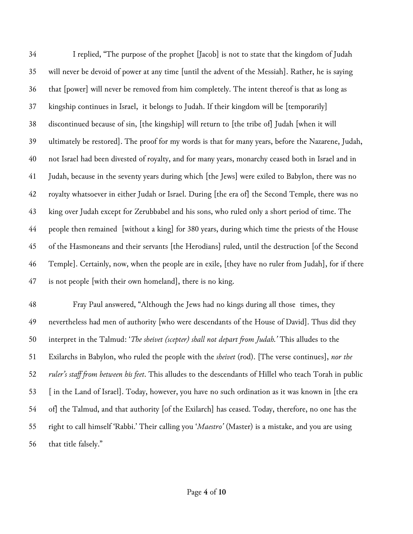I replied, "The purpose of the prophet [Jacob] is not to state that the kingdom of Judah will never be devoid of power at any time [until the advent of the Messiah]. Rather, he is saying that [power] will never be removed from him completely. The intent thereof is that as long as kingship continues in Israel, it belongs to Judah. If their kingdom will be [temporarily] discontinued because of sin, [the kingship] will return to [the tribe of] Judah [when it will ultimately be restored]. The proof for my words is that for many years, before the Nazarene, Judah, not Israel had been divested of royalty, and for many years, monarchy ceased both in Israel and in Judah, because in the seventy years during which [the Jews] were exiled to Babylon, there was no royalty whatsoever in either Judah or Israel. During [the era of] the Second Temple, there was no king over Judah except for Zerubbabel and his sons, who ruled only a short period of time. The people then remained [without a king] for 380 years, during which time the priests of the House of the Hasmoneans and their servants [the Herodians] ruled, until the destruction [of the Second Temple]. Certainly, now, when the people are in exile, [they have no ruler from Judah], for if there is not people [with their own homeland], there is no king.

 Fray Paul answered, "Although the Jews had no kings during all those times, they nevertheless had men of authority [who were descendants of the House of David]. Thus did they interpret in the Talmud: '*The sheivet (scepter) shall not depart from Judah.'* This alludes to the Exilarchs in Babylon, who ruled the people with the *sheivet* (rod). [The verse continues], *nor the ruler's staff from between his feet*. This alludes to the descendants of Hillel who teach Torah in public [ in the Land of Israel]. Today, however, you have no such ordination as it was known in [the era of] the Talmud, and that authority [of the Exilarch] has ceased. Today, therefore, no one has the right to call himself 'Rabbi.' Their calling you '*Maestro'* (Master) is a mistake, and you are using that title falsely."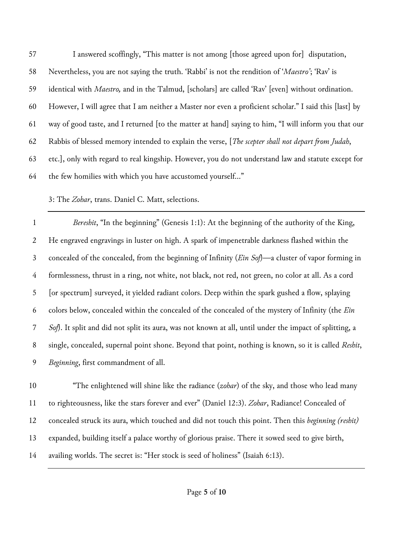I answered scoffingly, "This matter is not among [those agreed upon for] disputation, Nevertheless, you are not saying the truth. 'Rabbi' is not the rendition of '*Maestro'*; 'Rav' is identical with *Maestro,* and in the Talmud, [scholars] are called 'Rav' [even] without ordination. However, I will agree that I am neither a Master nor even a proficient scholar." I said this [last] by way of good taste, and I returned [to the matter at hand] saying to him, "I will inform you that our Rabbis of blessed memory intended to explain the verse, [*The scepter shall not depart from Judah*, etc.], only with regard to real kingship. However, you do not understand law and statute except for the few homilies with which you have accustomed yourself…"

# 3: The *Zohar*, trans. Daniel C. Matt, selections.

 *Bereshit*, "In the beginning" (Genesis 1:1): At the beginning of the authority of the King, He engraved engravings in luster on high. A spark of impenetrable darkness flashed within the concealed of the concealed, from the beginning of Infinity (*Ein Sof*)—a cluster of vapor forming in formlessness, thrust in a ring, not white, not black, not red, not green, no color at all. As a cord [or spectrum] surveyed, it yielded radiant colors. Deep within the spark gushed a flow, splaying colors below, concealed within the concealed of the concealed of the mystery of Infinity (the *Ein Sof*). It split and did not split its aura, was not known at all, until under the impact of splitting, a single, concealed, supernal point shone. Beyond that point, nothing is known, so it is called *Reshit*, *Beginning*, first commandment of all.

 "The enlightened will shine like the radiance (*zohar*) of the sky, and those who lead many to righteousness, like the stars forever and ever" (Daniel 12:3). *Zohar*, Radiance! Concealed of concealed struck its aura, which touched and did not touch this point. Then this *beginning (reshit)* expanded, building itself a palace worthy of glorious praise. There it sowed seed to give birth, availing worlds. The secret is: "Her stock is seed of holiness" (Isaiah 6:13).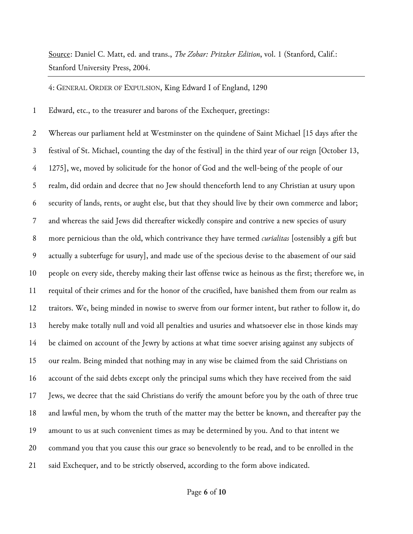Source: Daniel C. Matt, ed. and trans., *The Zohar: Pritzker Edition*, vol. 1 (Stanford, Calif.: Stanford University Press, 2004.

4: GENERAL ORDER OF EXPULSION, King Edward I of England, 1290

Edward, etc., to the treasurer and barons of the Exchequer, greetings:

 Whereas our parliament held at Westminster on the quindene of Saint Michael [15 days after the festival of St. Michael, counting the day of the festival] in the third year of our reign [October 13, 1275], we, moved by solicitude for the honor of God and the well-being of the people of our realm, did ordain and decree that no Jew should thenceforth lend to any Christian at usury upon security of lands, rents, or aught else, but that they should live by their own commerce and labor; and whereas the said Jews did thereafter wickedly conspire and contrive a new species of usury more pernicious than the old, which contrivance they have termed *curialitas* [ostensibly a gift but actually a subterfuge for usury], and made use of the specious devise to the abasement of our said people on every side, thereby making their last offense twice as heinous as the first; therefore we, in requital of their crimes and for the honor of the crucified, have banished them from our realm as traitors. We, being minded in nowise to swerve from our former intent, but rather to follow it, do hereby make totally null and void all penalties and usuries and whatsoever else in those kinds may be claimed on account of the Jewry by actions at what time soever arising against any subjects of our realm. Being minded that nothing may in any wise be claimed from the said Christians on account of the said debts except only the principal sums which they have received from the said Jews, we decree that the said Christians do verify the amount before you by the oath of three true and lawful men, by whom the truth of the matter may the better be known, and thereafter pay the amount to us at such convenient times as may be determined by you. And to that intent we command you that you cause this our grace so benevolently to be read, and to be enrolled in the said Exchequer, and to be strictly observed, according to the form above indicated.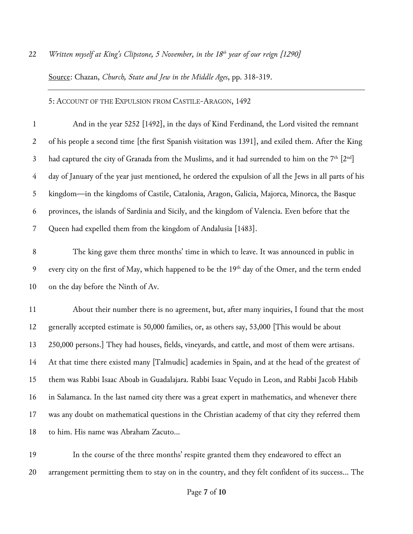#### *Written myself at King's Clipstone, 5 November, in the 18th year of our reign [1290]*

Source: Chazan, *Church, State and Jew in the Middle Ages*, pp. 318-319.

### 5: ACCOUNT OF THE EXPULSION FROM CASTILE-ARAGON, 1492

 And in the year 5252 [1492], in the days of Kind Ferdinand, the Lord visited the remnant of his people a second time [the first Spanish visitation was 1391], and exiled them. After the King 3 had captured the city of Granada from the Muslims, and it had surrended to him on the  $7<sup>th</sup>$   $[2<sup>nd</sup>]$  day of January of the year just mentioned, he ordered the expulsion of all the Jews in all parts of his kingdom—in the kingdoms of Castile, Catalonia, Aragon, Galicia, Majorca, Minorca, the Basque provinces, the islands of Sardinia and Sicily, and the kingdom of Valencia. Even before that the Queen had expelled them from the kingdom of Andalusia [1483].

 The king gave them three months' time in which to leave. It was announced in public in 9 every city on the first of May, which happened to be the 19<sup>th</sup> day of the Omer, and the term ended on the day before the Ninth of Av.

 About their number there is no agreement, but, after many inquiries, I found that the most generally accepted estimate is 50,000 families, or, as others say, 53,000 [This would be about 250,000 persons.] They had houses, fields, vineyards, and cattle, and most of them were artisans. At that time there existed many [Talmudic] academies in Spain, and at the head of the greatest of them was Rabbi Isaac Aboab in Guadalajara. Rabbi Isaac Veçudo in Leon, and Rabbi Jacob Habib in Salamanca. In the last named city there was a great expert in mathematics, and whenever there was any doubt on mathematical questions in the Christian academy of that city they referred them to him. His name was Abraham Zacuto…

 In the course of the three months' respite granted them they endeavored to effect an arrangement permitting them to stay on in the country, and they felt confident of its success… The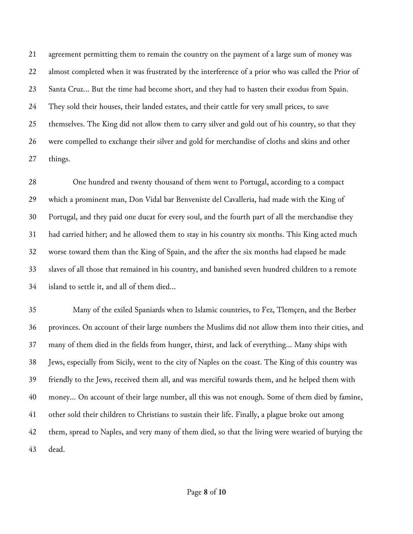agreement permitting them to remain the country on the payment of a large sum of money was almost completed when it was frustrated by the interference of a prior who was called the Prior of Santa Cruz… But the time had become short, and they had to hasten their exodus from Spain. They sold their houses, their landed estates, and their cattle for very small prices, to save themselves. The King did not allow them to carry silver and gold out of his country, so that they were compelled to exchange their silver and gold for merchandise of cloths and skins and other things.

 One hundred and twenty thousand of them went to Portugal, according to a compact which a prominent man, Don Vidal bar Benveniste del Cavalleria, had made with the King of Portugal, and they paid one ducat for every soul, and the fourth part of all the merchandise they had carried hither; and he allowed them to stay in his country six months. This King acted much worse toward them than the King of Spain, and the after the six months had elapsed he made slaves of all those that remained in his country, and banished seven hundred children to a remote island to settle it, and all of them died…

 Many of the exiled Spaniards when to Islamic countries, to Fez, Tlemçen, and the Berber provinces. On account of their large numbers the Muslims did not allow them into their cities, and many of them died in the fields from hunger, thirst, and lack of everything… Many ships with Jews, especially from Sicily, went to the city of Naples on the coast. The King of this country was friendly to the Jews, received them all, and was merciful towards them, and he helped them with money… On account of their large number, all this was not enough. Some of them died by famine, other sold their children to Christians to sustain their life. Finally, a plague broke out among them, spread to Naples, and very many of them died, so that the living were wearied of burying the dead.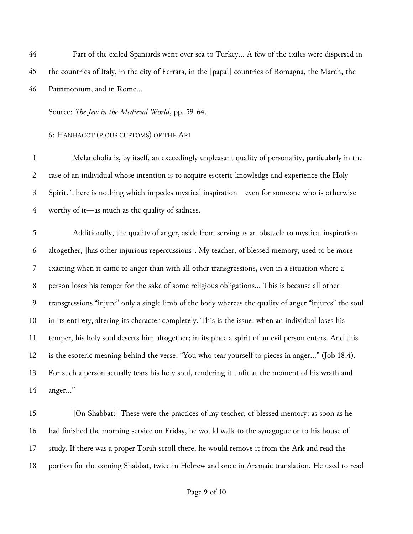Part of the exiled Spaniards went over sea to Turkey… A few of the exiles were dispersed in the countries of Italy, in the city of Ferrara, in the [papal] countries of Romagna, the March, the Patrimonium, and in Rome…

# Source: *The Jew in the Medieval World*, pp. 59-64.

# 6: HANHAGOT (PIOUS CUSTOMS) OF THE ARI

 Melancholia is, by itself, an exceedingly unpleasant quality of personality, particularly in the case of an individual whose intention is to acquire esoteric knowledge and experience the Holy Spirit. There is nothing which impedes mystical inspiration—even for someone who is otherwise worthy of it—as much as the quality of sadness.

 Additionally, the quality of anger, aside from serving as an obstacle to mystical inspiration altogether, [has other injurious repercussions]. My teacher, of blessed memory, used to be more exacting when it came to anger than with all other transgressions, even in a situation where a person loses his temper for the sake of some religious obligations… This is because all other transgressions "injure" only a single limb of the body whereas the quality of anger "injures" the soul in its entirety, altering its character completely. This is the issue: when an individual loses his temper, his holy soul deserts him altogether; in its place a spirit of an evil person enters. And this is the esoteric meaning behind the verse: "You who tear yourself to pieces in anger…" (Job 18:4). For such a person actually tears his holy soul, rendering it unfit at the moment of his wrath and anger…"

 [On Shabbat:] These were the practices of my teacher, of blessed memory: as soon as he had finished the morning service on Friday, he would walk to the synagogue or to his house of study. If there was a proper Torah scroll there, he would remove it from the Ark and read the portion for the coming Shabbat, twice in Hebrew and once in Aramaic translation. He used to read